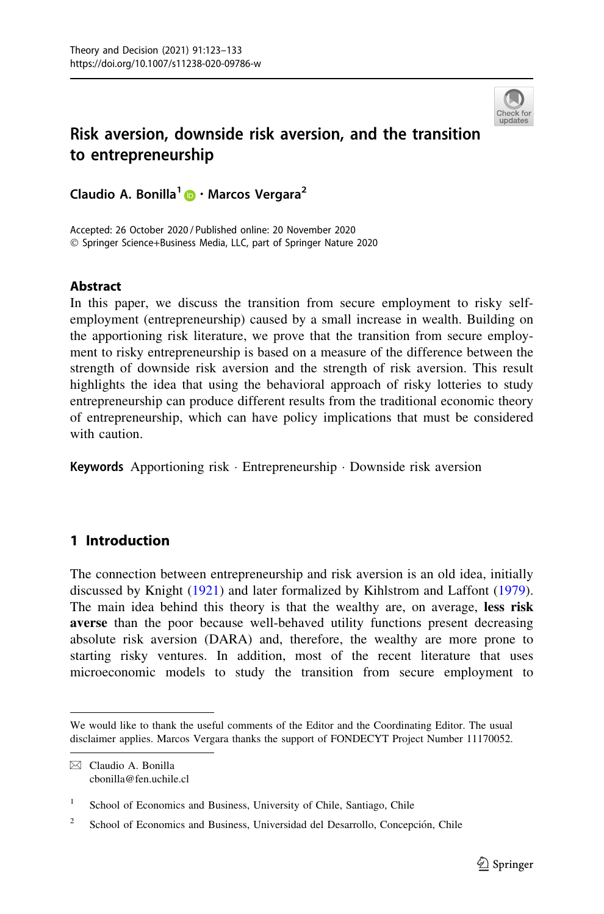

# Risk aversion, downside risk aversion, and the transition to entrepreneurship

Claudio A. Bonilla<sup>[1](http://orcid.org/0000-0002-5607-4127)</sup> • Marcos Vergara<sup>2</sup>

Accepted: 26 October 2020 / Published online: 20 November 2020 - Springer Science+Business Media, LLC, part of Springer Nature 2020

# Abstract

In this paper, we discuss the transition from secure employment to risky selfemployment (entrepreneurship) caused by a small increase in wealth. Building on the apportioning risk literature, we prove that the transition from secure employment to risky entrepreneurship is based on a measure of the difference between the strength of downside risk aversion and the strength of risk aversion. This result highlights the idea that using the behavioral approach of risky lotteries to study entrepreneurship can produce different results from the traditional economic theory of entrepreneurship, which can have policy implications that must be considered with caution.

Keywords Apportioning risk - Entrepreneurship - Downside risk aversion

# 1 Introduction

The connection between entrepreneurship and risk aversion is an old idea, initially discussed by Knight ([1921\)](#page-10-0) and later formalized by Kihlstrom and Laffont ([1979\)](#page-10-0). The main idea behind this theory is that the wealthy are, on average, less risk averse than the poor because well-behaved utility functions present decreasing absolute risk aversion (DARA) and, therefore, the wealthy are more prone to starting risky ventures. In addition, most of the recent literature that uses microeconomic models to study the transition from secure employment to

We would like to thank the useful comments of the Editor and the Coordinating Editor. The usual disclaimer applies. Marcos Vergara thanks the support of FONDECYT Project Number 11170052.

 $\boxtimes$  Claudio A. Bonilla cbonilla@fen.uchile.cl

School of Economics and Business, University of Chile, Santiago, Chile

<sup>&</sup>lt;sup>2</sup> School of Economics and Business, Universidad del Desarrollo, Concepción, Chile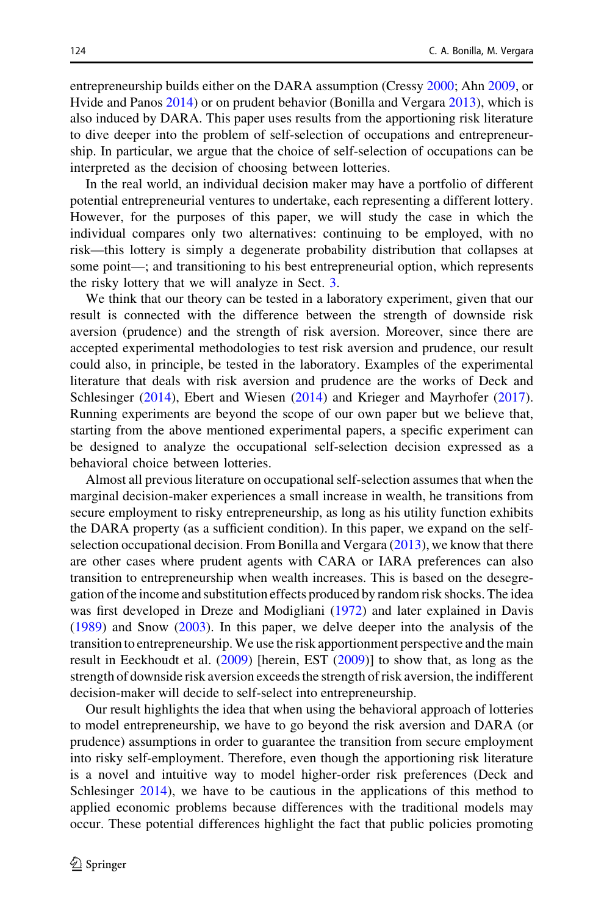entrepreneurship builds either on the DARA assumption (Cressy [2000;](#page-9-0) Ahn [2009](#page-9-0), or Hvide and Panos [2014\)](#page-10-0) or on prudent behavior (Bonilla and Vergara [2013\)](#page-9-0), which is also induced by DARA. This paper uses results from the apportioning risk literature to dive deeper into the problem of self-selection of occupations and entrepreneurship. In particular, we argue that the choice of self-selection of occupations can be interpreted as the decision of choosing between lotteries.

In the real world, an individual decision maker may have a portfolio of different potential entrepreneurial ventures to undertake, each representing a different lottery. However, for the purposes of this paper, we will study the case in which the individual compares only two alternatives: continuing to be employed, with no risk—this lottery is simply a degenerate probability distribution that collapses at some point—; and transitioning to his best entrepreneurial option, which represents the risky lottery that we will analyze in Sect. [3.](#page-4-0)

We think that our theory can be tested in a laboratory experiment, given that our result is connected with the difference between the strength of downside risk aversion (prudence) and the strength of risk aversion. Moreover, since there are accepted experimental methodologies to test risk aversion and prudence, our result could also, in principle, be tested in the laboratory. Examples of the experimental literature that deals with risk aversion and prudence are the works of Deck and Schlesinger ([2014\)](#page-9-0), Ebert and Wiesen [\(2014](#page-9-0)) and Krieger and Mayrhofer ([2017\)](#page-10-0). Running experiments are beyond the scope of our own paper but we believe that, starting from the above mentioned experimental papers, a specific experiment can be designed to analyze the occupational self-selection decision expressed as a behavioral choice between lotteries.

Almost all previous literature on occupational self-selection assumes that when the marginal decision-maker experiences a small increase in wealth, he transitions from secure employment to risky entrepreneurship, as long as his utility function exhibits the DARA property (as a sufficient condition). In this paper, we expand on the selfselection occupational decision. From Bonilla and Vergara ([2013\)](#page-9-0), we know that there are other cases where prudent agents with CARA or IARA preferences can also transition to entrepreneurship when wealth increases. This is based on the desegregation of the income and substitution effects produced by random risk shocks. The idea was first developed in Dreze and Modigliani ([1972\)](#page-9-0) and later explained in Davis [\(1989](#page-9-0)) and Snow [\(2003](#page-10-0)). In this paper, we delve deeper into the analysis of the transition to entrepreneurship. We use the risk apportionment perspective and the main result in Eeckhoudt et al. ([2009\)](#page-9-0) [herein, EST ([2009\)](#page-9-0)] to show that, as long as the strength of downside risk aversion exceeds the strength of risk aversion, the indifferent decision-maker will decide to self-select into entrepreneurship.

Our result highlights the idea that when using the behavioral approach of lotteries to model entrepreneurship, we have to go beyond the risk aversion and DARA (or prudence) assumptions in order to guarantee the transition from secure employment into risky self-employment. Therefore, even though the apportioning risk literature is a novel and intuitive way to model higher-order risk preferences (Deck and Schlesinger [2014\)](#page-9-0), we have to be cautious in the applications of this method to applied economic problems because differences with the traditional models may occur. These potential differences highlight the fact that public policies promoting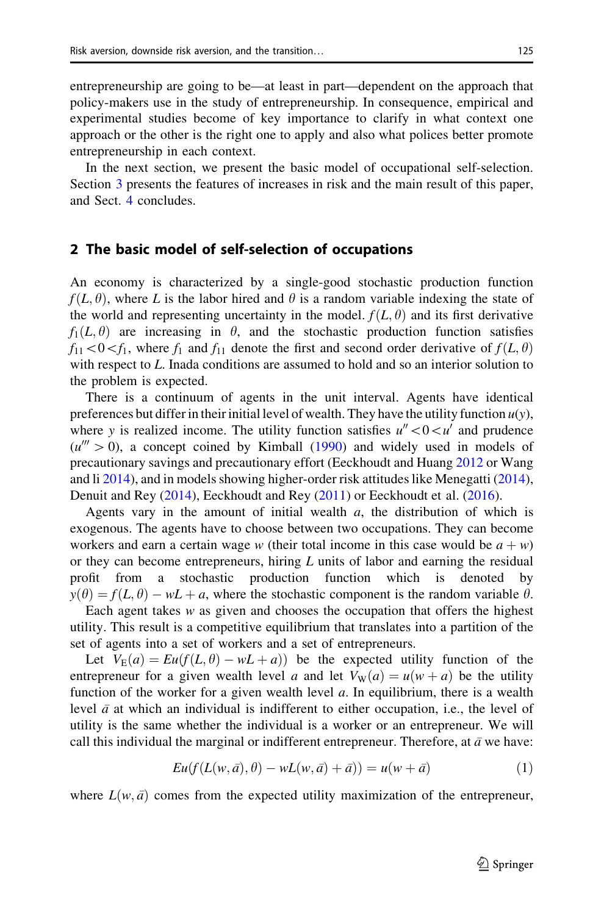<span id="page-2-0"></span>entrepreneurship are going to be—at least in part—dependent on the approach that policy-makers use in the study of entrepreneurship. In consequence, empirical and experimental studies become of key importance to clarify in what context one approach or the other is the right one to apply and also what polices better promote entrepreneurship in each context.

In the next section, we present the basic model of occupational self-selection. Section [3](#page-4-0) presents the features of increases in risk and the main result of this paper, and Sect. [4](#page-9-0) concludes.

## 2 The basic model of self-selection of occupations

An economy is characterized by a single-good stochastic production function  $f(L, \theta)$ , where L is the labor hired and  $\theta$  is a random variable indexing the state of the world and representing uncertainty in the model.  $f(L, \theta)$  and its first derivative  $f_1(L, \theta)$  are increasing in  $\theta$ , and the stochastic production function satisfies  $f_{11}$  < 0 <  $f_1$ , where  $f_1$  and  $f_{11}$  denote the first and second order derivative of  $f(L, \theta)$ with respect to L. Inada conditions are assumed to hold and so an interior solution to the problem is expected.

There is a continuum of agents in the unit interval. Agents have identical preferences but differ in their initial level of wealth. They have the utility function  $u(y)$ , where y is realized income. The utility function satisfies  $u'' < 0 < u'$  and prudence  $(u'' > 0)$ , a concept coined by Kimball [\(1990](#page-10-0)) and widely used in models of precautionary savings and precautionary effort (Eeckhoudt and Huang [2012](#page-9-0) or Wang and li [2014\)](#page-10-0), and in models showing higher-order risk attitudes like Menegatti ([2014\)](#page-10-0), Denuit and Rey ([2014\)](#page-9-0), Eeckhoudt and Rey [\(2011](#page-9-0)) or Eeckhoudt et al. [\(2016](#page-9-0)).

Agents vary in the amount of initial wealth  $a$ , the distribution of which is exogenous. The agents have to choose between two occupations. They can become workers and earn a certain wage w (their total income in this case would be  $a + w$ ) or they can become entrepreneurs, hiring  $L$  units of labor and earning the residual profit from a stochastic production function which is denoted by  $y(\theta) = f(L, \theta) - wL + a$ , where the stochastic component is the random variable  $\theta$ .

Each agent takes  $w$  as given and chooses the occupation that offers the highest utility. This result is a competitive equilibrium that translates into a partition of the set of agents into a set of workers and a set of entrepreneurs.

Let  $V_E(a) = Eu(f(L, \theta) - wL + a)$  be the expected utility function of the entrepreneur for a given wealth level a and let  $V_W(a) = u(w + a)$  be the utility function of the worker for a given wealth level  $a$ . In equilibrium, there is a wealth level  $\bar{a}$  at which an individual is indifferent to either occupation, i.e., the level of utility is the same whether the individual is a worker or an entrepreneur. We will call this individual the marginal or indifferent entrepreneur. Therefore, at  $\bar{a}$  we have:

$$
Eu(f(L(w, \bar{a}), \theta) - wL(w, \bar{a}) + \bar{a})) = u(w + \bar{a})
$$
\n(1)

where  $L(w, \bar{a})$  comes from the expected utility maximization of the entrepreneur,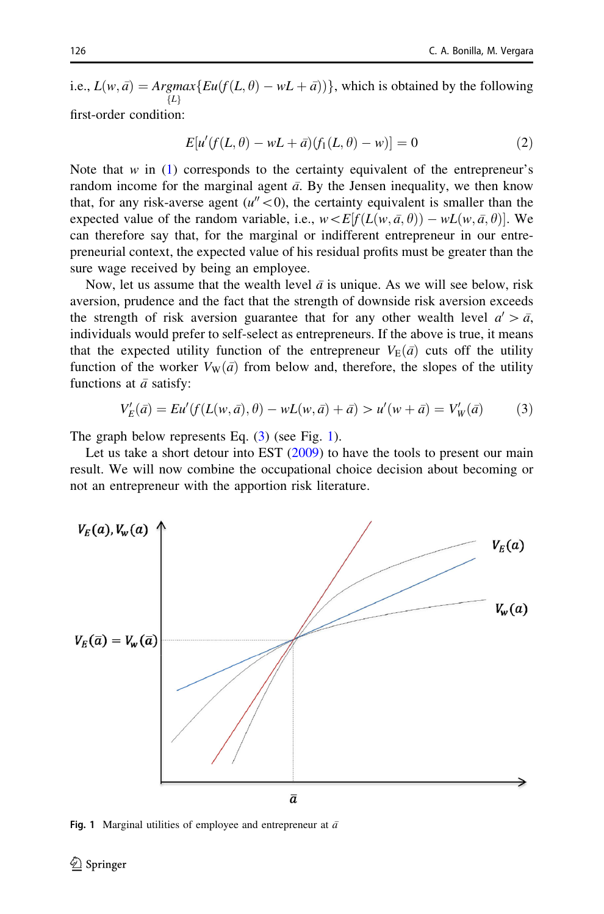<span id="page-3-0"></span>i.e.,  $L(w, \bar{a}) = Argmax\{Eu(f(L, \theta) - wL + \bar{a})\}\$ , which is obtained by the following  $\{L\}$ 

first-order condition:

$$
E[u'(f(L, \theta) - wL + \bar{a})(f_1(L, \theta) - w)] = 0
$$
\n(2)

Note that  $w$  in [\(1\)](#page-2-0) corresponds to the certainty equivalent of the entrepreneur's random income for the marginal agent  $\bar{a}$ . By the Jensen inequality, we then know that, for any risk-averse agent  $(u''<0)$ , the certainty equivalent is smaller than the expected value of the random variable, i.e.,  $w \lt E[f(L(w, \bar{a}, \theta)) - wL(w, \bar{a}, \theta)].$  We can therefore say that, for the marginal or indifferent entrepreneur in our entrepreneurial context, the expected value of his residual profits must be greater than the sure wage received by being an employee.

Now, let us assume that the wealth level  $\bar{a}$  is unique. As we will see below, risk aversion, prudence and the fact that the strength of downside risk aversion exceeds the strength of risk aversion guarantee that for any other wealth level  $a' > \bar{a}$ , individuals would prefer to self-select as entrepreneurs. If the above is true, it means that the expected utility function of the entrepreneur  $V_{\rm E}(\vec{a})$  cuts off the utility function of the worker  $V_W(\bar{a})$  from below and, therefore, the slopes of the utility functions at  $\bar{a}$  satisfy:

$$
V'_{E}(\bar{a}) = Eu'(f(L(w, \bar{a}), \theta) - wL(w, \bar{a}) + \bar{a}) > u'(w + \bar{a}) = V'_{W}(\bar{a})
$$
(3)

The graph below represents Eq. (3) (see Fig. 1).

Let us take a short detour into EST [\(2009](#page-9-0)) to have the tools to present our main result. We will now combine the occupational choice decision about becoming or not an entrepreneur with the apportion risk literature.



Fig. 1 Marginal utilities of employee and entrepreneur at  $\bar{a}$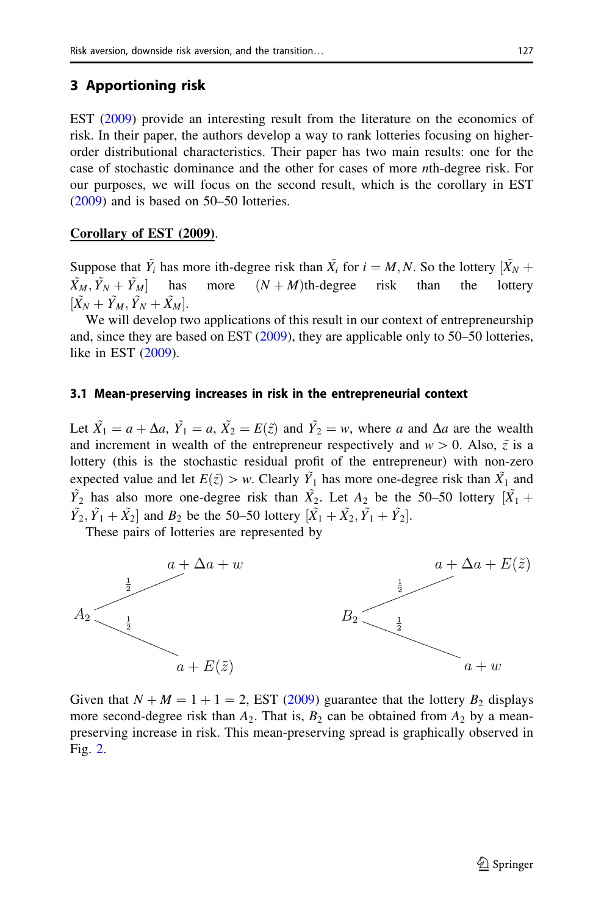# <span id="page-4-0"></span>3 Apportioning risk

EST [\(2009\)](#page-9-0) provide an interesting result from the literature on the economics of risk. In their paper, the authors develop a way to rank lotteries focusing on higherorder distributional characteristics. Their paper has two main results: one for the case of stochastic dominance and the other for cases of more nth-degree risk. For our purposes, we will focus on the second result, which is the corollary in EST [\(2009](#page-9-0)) and is based on 50–50 lotteries.

#### Corollary of EST (2009).

Suppose that  $\tilde{Y}_i$  has more ith-degree risk than  $\tilde{X}_i$  for  $i = M, N$ . So the lottery  $|\tilde{X}_N|$  +  $\tilde{X}_M$ ,  $\tilde{Y}_N + \tilde{Y}_M$  has more  $(N + M)$ th-degree risk than the lottery  $[\tilde{X}_N + \tilde{Y}_M, \tilde{Y}_N + \tilde{X}_M].$ 

We will develop two applications of this result in our context of entrepreneurship and, since they are based on EST [\(2009](#page-9-0)), they are applicable only to 50–50 lotteries, like in EST ([2009\)](#page-9-0).

#### 3.1 Mean-preserving increases in risk in the entrepreneurial context

Let  $\tilde{X}_1 = a + \Delta a$ ,  $\tilde{Y}_1 = a$ ,  $\tilde{X}_2 = E(\tilde{z})$  and  $\tilde{Y}_2 = w$ , where a and  $\Delta a$  are the wealth and increment in wealth of the entrepreneur respectively and  $w > 0$ . Also,  $\tilde{z}$  is a lottery (this is the stochastic residual profit of the entrepreneur) with non-zero expected value and let  $E(\tilde{z}) > w$ . Clearly  $\tilde{Y}_1$  has more one-degree risk than  $\tilde{X}_1$  and  $\tilde{Y}_2$  has also more one-degree risk than  $\tilde{X}_2$ . Let  $A_2$  be the 50–50 lottery  $|\tilde{X}_1 + \tilde{X}_2|$  $\tilde{Y}_2$ ,  $\tilde{Y}_1 + \tilde{X}_2$  and  $B_2$  be the 50–50 lottery  $[\tilde{X}_1 + \tilde{X}_2, \tilde{Y}_1 + \tilde{Y}_2]$ .

These pairs of lotteries are represented by



Given that  $N + M = 1 + 1 = 2$ , EST [\(2009](#page-9-0)) guarantee that the lottery  $B_2$  displays more second-degree risk than  $A_2$ . That is,  $B_2$  can be obtained from  $A_2$  by a meanpreserving increase in risk. This mean-preserving spread is graphically observed in Fig. [2](#page-5-0).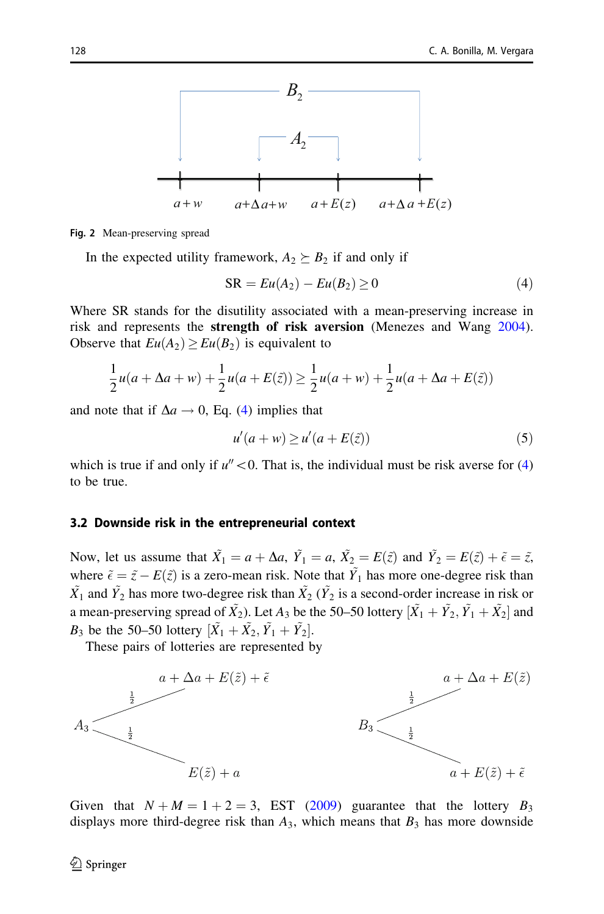<span id="page-5-0"></span>

Fig. 2 Mean-preserving spread

In the expected utility framework,  $A_2 \succeq B_2$  if and only if

$$
SR = Eu(A_2) - Eu(B_2) \ge 0 \tag{4}
$$

Where SR stands for the disutility associated with a mean-preserving increase in risk and represents the strength of risk aversion (Menezes and Wang [2004\)](#page-10-0). Observe that  $Eu(A_2) \geq Eu(B_2)$  is equivalent to

$$
\frac{1}{2}u(a + \Delta a + w) + \frac{1}{2}u(a + E(\tilde{z})) \ge \frac{1}{2}u(a + w) + \frac{1}{2}u(a + \Delta a + E(\tilde{z}))
$$

and note that if  $\Delta a \rightarrow 0$ , Eq. (4) implies that

$$
u'(a + w) \ge u'(a + E(\tilde{z}))\tag{5}
$$

which is true if and only if  $u'' < 0$ . That is, the individual must be risk averse for (4) to be true.

#### 3.2 Downside risk in the entrepreneurial context

Now, let us assume that  $\tilde{X_1} = a + \Delta a$ ,  $\tilde{Y_1} = a$ ,  $\tilde{X_2} = E(\tilde{z})$  and  $\tilde{Y_2} = E(\tilde{z}) + \tilde{\epsilon} = \tilde{z}$ , where  $\tilde{\epsilon} = \tilde{z} - E(\tilde{z})$  is a zero-mean risk. Note that  $\tilde{Y}_1$  has more one-degree risk than  $\tilde{X}_1$  and  $\tilde{Y}_2$  has more two-degree risk than  $\tilde{X}_2$  ( $\tilde{Y}_2$  is a second-order increase in risk or a mean-preserving spread of  $\tilde{X}_2$ ). Let  $A_3$  be the 50–50 lottery  $[\tilde{X}_1 + \tilde{Y}_2, \tilde{Y}_1 + \tilde{X}_2]$  and  $B_3$  be the 50–50 lottery  $[\tilde{X}_1 + \tilde{X}_2, \tilde{Y}_1 + \tilde{Y}_2].$ 

These pairs of lotteries are represented by



Given that  $N + M = 1 + 2 = 3$ , EST [\(2009](#page-9-0)) guarantee that the lottery  $B_3$ displays more third-degree risk than  $A_3$ , which means that  $B_3$  has more downside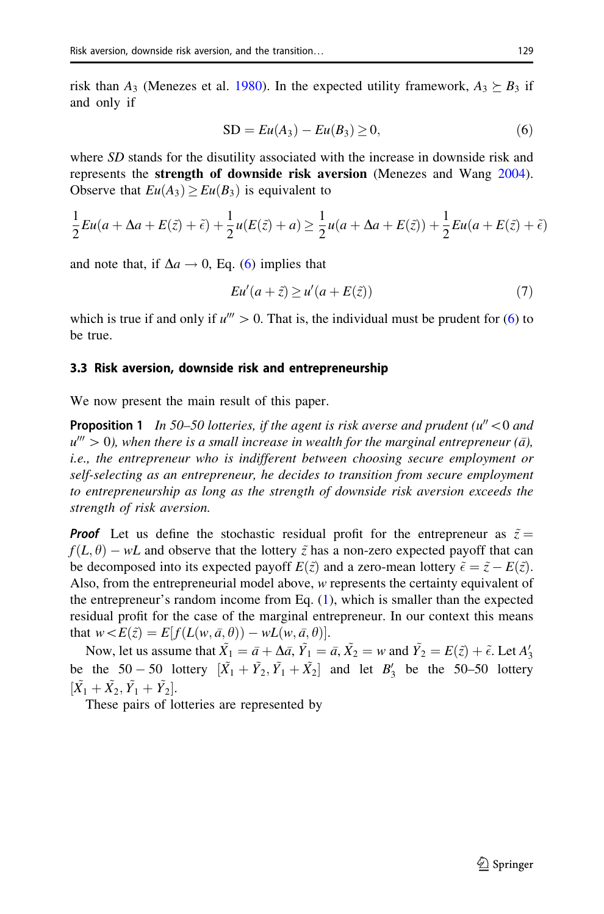risk than  $A_3$  (Menezes et al. [1980\)](#page-10-0). In the expected utility framework,  $A_3 \succeq B_3$  if and only if

$$
SD = Eu(A_3) - Eu(B_3) \ge 0,
$$
\n<sup>(6)</sup>

where SD stands for the disutility associated with the increase in downside risk and represents the strength of downside risk aversion (Menezes and Wang [2004\)](#page-10-0). Observe that  $Eu(A_3) > Eu(B_3)$  is equivalent to

$$
\frac{1}{2}Eu(a+\Delta a+E(\tilde{z})+\tilde{\epsilon})+\frac{1}{2}u(E(\tilde{z})+a)\geq \frac{1}{2}u(a+\Delta a+E(\tilde{z}))+\frac{1}{2}Eu(a+E(\tilde{z})+\tilde{\epsilon})
$$

and note that, if  $\Delta a \rightarrow 0$ , Eq. (6) implies that

$$
Eu'(a+\tilde{z}) \ge u'(a+E(\tilde{z}))\tag{7}
$$

which is true if and only if  $u''' > 0$ . That is, the individual must be prudent for (6) to be true.

#### 3.3 Risk aversion, downside risk and entrepreneurship

We now present the main result of this paper.

**Proposition 1** In 50–50 lotteries, if the agent is risk averse and prudent ( $u'' < 0$  and  $u''' > 0$ ), when there is a small increase in wealth for the marginal entrepreneur (ā), i.e., the entrepreneur who is indifferent between choosing secure employment or self-selecting as an entrepreneur, he decides to transition from secure employment to entrepreneurship as long as the strength of downside risk aversion exceeds the strength of risk aversion.

**Proof** Let us define the stochastic residual profit for the entrepreneur as  $\tilde{z}$  $f(L, \theta) - wL$  and observe that the lottery  $\tilde{z}$  has a non-zero expected payoff that can be decomposed into its expected payoff  $E(\tilde{z})$  and a zero-mean lottery  $\tilde{\epsilon} = \tilde{z} - E(\tilde{z})$ . Also, from the entrepreneurial model above, w represents the certainty equivalent of the entrepreneur's random income from Eq. ([1\)](#page-2-0), which is smaller than the expected residual profit for the case of the marginal entrepreneur. In our context this means that  $w < E(\tilde{z}) = E[f(L(w, \bar{a}, \theta)) - wL(w, \bar{a}, \theta)].$ 

Now, let us assume that  $\tilde{X_1} = \bar{a} + \Delta \bar{a}$ ,  $\tilde{Y_1} = \bar{a}$ ,  $\tilde{X_2} = w$  and  $\tilde{Y_2} = E(\tilde{z}) + \tilde{\epsilon}$ . Let  $A'_3$ be the 50 – 50 lottery  $[\tilde{X}_1 + \tilde{Y}_2, \tilde{Y}_1 + \tilde{X}_2]$  and let  $B'_3$  be the 50–50 lottery  $[\tilde{X_1} + \tilde{X_2}, \tilde{Y_1} + \tilde{Y_2}].$ 

These pairs of lotteries are represented by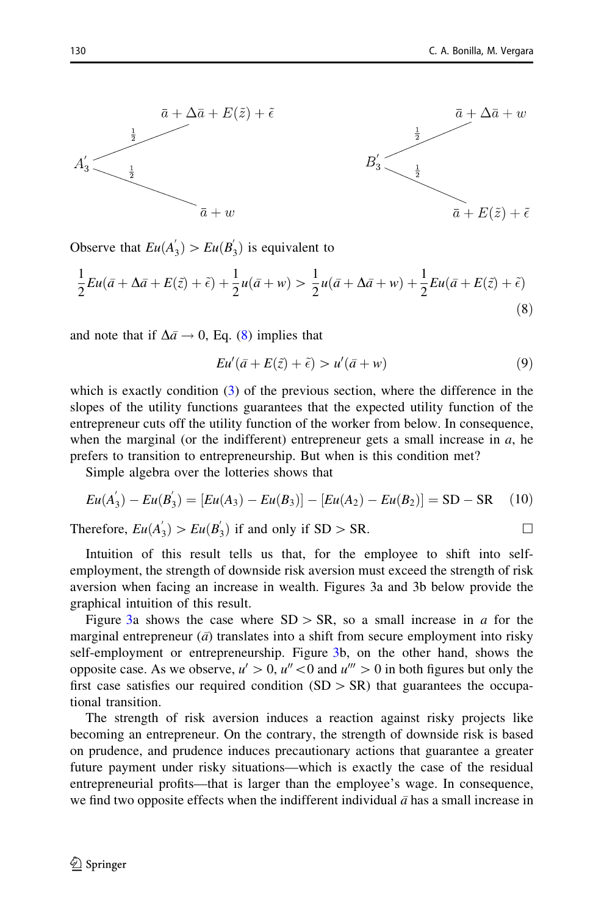

Observe that  $Eu(A<sub>3</sub><sup>'</sup>) > Eu(B<sub>3</sub><sup>'</sup>)$  is equivalent to

$$
\frac{1}{2}Eu(\bar{a} + \Delta\bar{a} + E(\tilde{z}) + \tilde{\epsilon}) + \frac{1}{2}u(\bar{a} + w) > \frac{1}{2}u(\bar{a} + \Delta\bar{a} + w) + \frac{1}{2}Eu(\bar{a} + E(\tilde{z}) + \tilde{\epsilon})
$$
\n(8)

and note that if  $\Delta \bar{a} \rightarrow 0$ , Eq. (8) implies that

$$
Eu'(\bar{a} + E(\tilde{z}) + \tilde{\epsilon}) > u'(\bar{a} + w)
$$
\n(9)

which is exactly condition  $(3)$  $(3)$  of the previous section, where the difference in the slopes of the utility functions guarantees that the expected utility function of the entrepreneur cuts off the utility function of the worker from below. In consequence, when the marginal (or the indifferent) entrepreneur gets a small increase in  $a$ , he prefers to transition to entrepreneurship. But when is this condition met?

Simple algebra over the lotteries shows that

$$
Eu(A3) - Eu(B3) = [Eu(A3) - Eu(B3)] - [Eu(A2) - Eu(B2)] = SD - SR \quad (10)
$$

Therefore,  $Eu(A'_3) > Eu(B'_3)$  if and only if SD > SR.

Intuition of this result tells us that, for the employee to shift into selfemployment, the strength of downside risk aversion must exceed the strength of risk aversion when facing an increase in wealth. Figures 3a and 3b below provide the graphical intuition of this result.

Figure [3a](#page-8-0) shows the case where  $SD > SR$ , so a small increase in a for the marginal entrepreneur  $(\bar{a})$  translates into a shift from secure employment into risky self-employment or entrepreneurship. Figure [3](#page-8-0)b, on the other hand, shows the opposite case. As we observe,  $u' > 0$ ,  $u'' < 0$  and  $u''' > 0$  in both figures but only the first case satisfies our required condition  $(SD > SR)$  that guarantees the occupational transition.

The strength of risk aversion induces a reaction against risky projects like becoming an entrepreneur. On the contrary, the strength of downside risk is based on prudence, and prudence induces precautionary actions that guarantee a greater future payment under risky situations—which is exactly the case of the residual entrepreneurial profits—that is larger than the employee's wage. In consequence, we find two opposite effects when the indifferent individual  $\bar{a}$  has a small increase in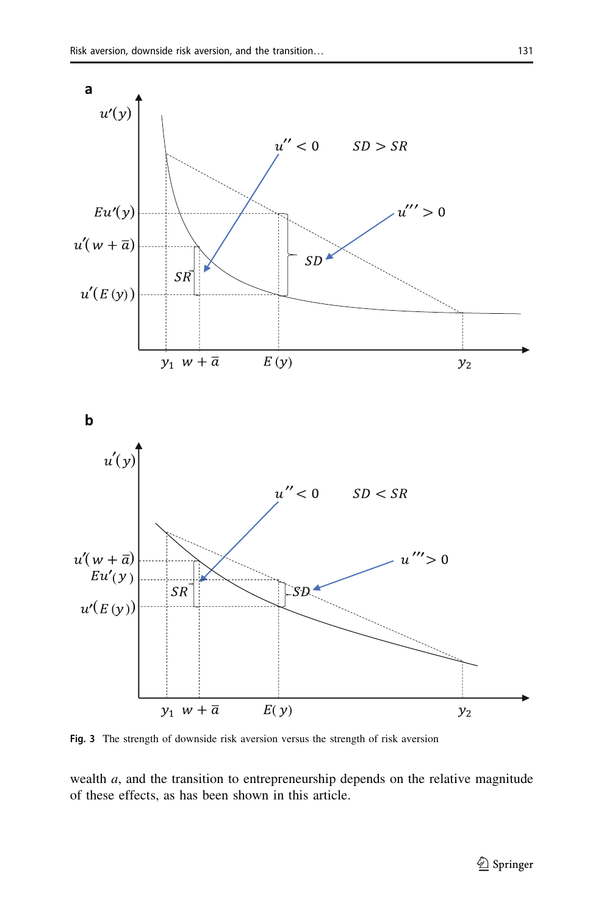<span id="page-8-0"></span>

Fig. 3 The strength of downside risk aversion versus the strength of risk aversion

wealth a, and the transition to entrepreneurship depends on the relative magnitude of these effects, as has been shown in this article.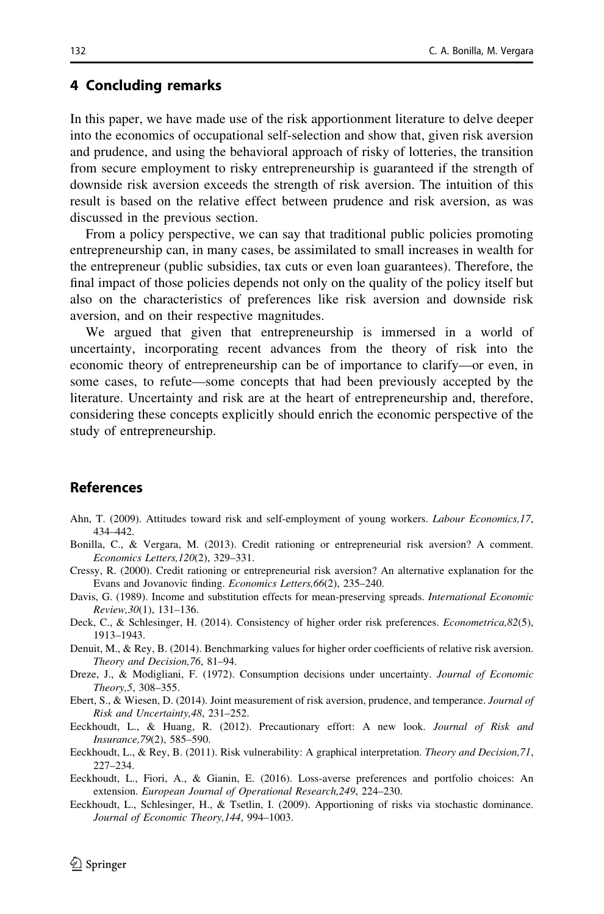# <span id="page-9-0"></span>4 Concluding remarks

In this paper, we have made use of the risk apportionment literature to delve deeper into the economics of occupational self-selection and show that, given risk aversion and prudence, and using the behavioral approach of risky of lotteries, the transition from secure employment to risky entrepreneurship is guaranteed if the strength of downside risk aversion exceeds the strength of risk aversion. The intuition of this result is based on the relative effect between prudence and risk aversion, as was discussed in the previous section.

From a policy perspective, we can say that traditional public policies promoting entrepreneurship can, in many cases, be assimilated to small increases in wealth for the entrepreneur (public subsidies, tax cuts or even loan guarantees). Therefore, the final impact of those policies depends not only on the quality of the policy itself but also on the characteristics of preferences like risk aversion and downside risk aversion, and on their respective magnitudes.

We argued that given that entrepreneurship is immersed in a world of uncertainty, incorporating recent advances from the theory of risk into the economic theory of entrepreneurship can be of importance to clarify—or even, in some cases, to refute—some concepts that had been previously accepted by the literature. Uncertainty and risk are at the heart of entrepreneurship and, therefore, considering these concepts explicitly should enrich the economic perspective of the study of entrepreneurship.

# References

- Ahn, T. (2009). Attitudes toward risk and self-employment of young workers. Labour Economics,17, 434–442.
- Bonilla, C., & Vergara, M. (2013). Credit rationing or entrepreneurial risk aversion? A comment. Economics Letters,120(2), 329–331.
- Cressy, R. (2000). Credit rationing or entrepreneurial risk aversion? An alternative explanation for the Evans and Jovanovic finding. Economics Letters,66(2), 235–240.
- Davis, G. (1989). Income and substitution effects for mean-preserving spreads. International Economic Review,30(1), 131–136.
- Deck, C., & Schlesinger, H. (2014). Consistency of higher order risk preferences. Econometrica, 82(5), 1913–1943.
- Denuit, M., & Rey, B. (2014). Benchmarking values for higher order coefficients of relative risk aversion. Theory and Decision,76, 81–94.
- Dreze, J., & Modigliani, F. (1972). Consumption decisions under uncertainty. Journal of Economic Theory,5, 308–355.
- Ebert, S., & Wiesen, D. (2014). Joint measurement of risk aversion, prudence, and temperance. Journal of Risk and Uncertainty,48, 231–252.
- Eeckhoudt, L., & Huang, R. (2012). Precautionary effort: A new look. Journal of Risk and Insurance,79(2), 585–590.
- Eeckhoudt, L., & Rey, B. (2011). Risk vulnerability: A graphical interpretation. Theory and Decision,71, 227–234.
- Eeckhoudt, L., Fiori, A., & Gianin, E. (2016). Loss-averse preferences and portfolio choices: An extension. European Journal of Operational Research,249, 224–230.
- Eeckhoudt, L., Schlesinger, H., & Tsetlin, I. (2009). Apportioning of risks via stochastic dominance. Journal of Economic Theory,144, 994–1003.